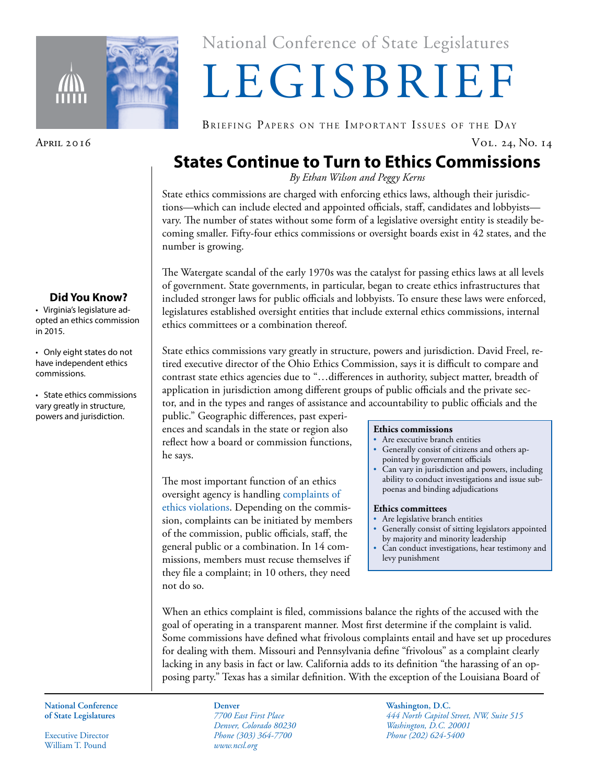

National Conference of State Legislatures National Conference of State Legislatures

# LEGISBRIEF LEGISBRIEF

BRIEFING PAPERS ON THE IMPORTANT ISSUES OF THE DAY

## **States Continue to Turn to Ethics Commissions**

*By Ethan Wilson and Peggy Kerns*

State ethics commissions are charged with enforcing ethics laws, although their jurisdictions—which can include elected and appointed officials, staff, candidates and lobbyists vary. The number of states without some form of a legislative oversight entity is steadily becoming smaller. Fifty-four ethics commissions or oversight boards exist in 42 states, and the number is growing.

The Watergate scandal of the early 1970s was the catalyst for passing ethics laws at all levels of government. State governments, in particular, began to create ethics infrastructures that included stronger laws for public officials and lobbyists. To ensure these laws were enforced, legislatures established oversight entities that include external ethics commissions, internal ethics committees or a combination thereof.

State ethics commissions vary greatly in structure, powers and jurisdiction. David Freel, retired executive director of the Ohio Ethics Commission, says it is difficult to compare and contrast state ethics agencies due to "…differences in authority, subject matter, breadth of application in jurisdiction among different groups of public officials and the private sector, and in the types and ranges of assistance and accountability to public officials and the

public." Geographic differences, past experiences and scandals in the state or region also reflect how a board or commission functions, he says.

The most important function of an ethics oversight agency is handling [complaints of](http://www.ncsl.org/research/ethics/50-state-chart-ethics-commissions-who-can-initia.aspx)  [ethics violations.](http://www.ncsl.org/research/ethics/50-state-chart-ethics-commissions-who-can-initia.aspx) Depending on the commission, complaints can be initiated by members of the commission, public officials, staff, the general public or a combination. In 14 commissions, members must recuse themselves if they file a complaint; in 10 others, they need not do so.

### **Ethics commissions**

- Are executive branch entities
- Generally consist of citizens and others appointed by government officials
- Can vary in jurisdiction and powers, including ability to conduct investigations and issue subpoenas and binding adjudications

### **Ethics committees**

- Are legislative branch entities
- Generally consist of sitting legislators appointed by majority and minority leadership
- Can conduct investigations, hear testimony and levy punishment

When an ethics complaint is filed, commissions balance the rights of the accused with the goal of operating in a transparent manner. Most first determine if the complaint is valid. Some commissions have defined what frivolous complaints entail and have set up procedures for dealing with them. Missouri and Pennsylvania define "frivolous" as a complaint clearly lacking in any basis in fact or law. California adds to its definition "the harassing of an opposing party." Texas has a similar definition. With the exception of the Louisiana Board of

**National Conference National Conference of State Legislatures of State Legislatures**

Executive Director Executive Director William T. Pound William T. Pound

*7700 East First Place 7700 East First Place Denver, Colorado 80230 Denver, Colorado 80230 Phone (303) 364-7700 Phone (303) 364-7700 www.ncsl.org www.ncsl.org* **Denver**

**Washington, D.C. Washington, D.C.** *444 North Capitol Street, NW, Suite 515 444 North Capitol Street, NW, Suite 515 Washington, D.C. 20001 Washington, D.C. 20001 Phone (202) 624-5400 Phone (202) 624-5400*

## **Did You Know?**

• Virginia's legislature adopted an ethics commission in 2015.

• Only eight states do not have independent ethics commissions.

• State ethics commissions vary greatly in structure, powers and jurisdiction.

April 2016 Vol. 24, No. 14